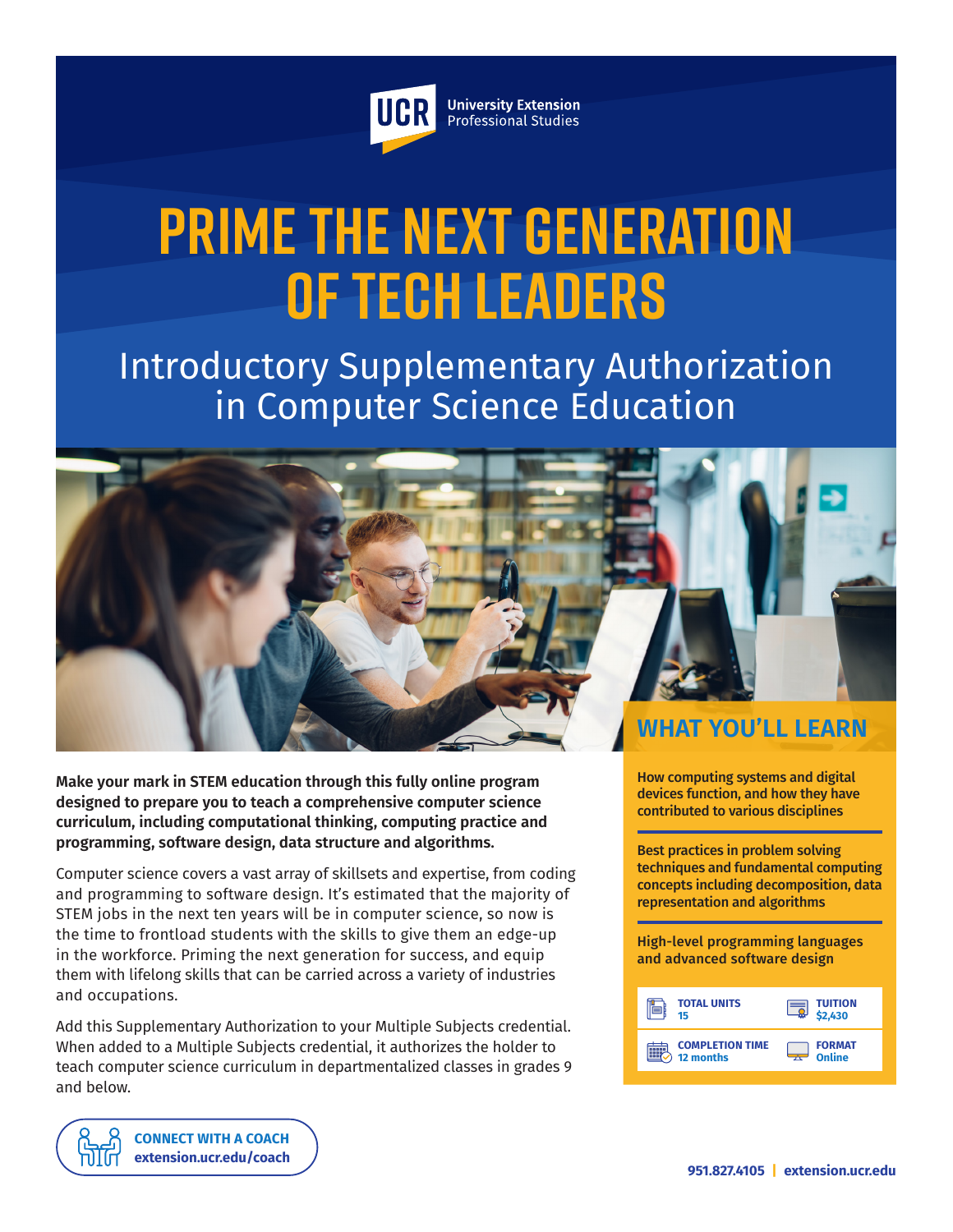

**University Extension** Professional Studies

# **Prime the Next Generation of Tech Leaders**

## Introductory Supplementary Authorization in Computer Science Education



**Make your mark in STEM education through this fully online program designed to prepare you to teach a comprehensive computer science curriculum, including computational thinking, computing practice and programming, software design, data structure and algorithms.**

Computer science covers a vast array of skillsets and expertise, from coding and programming to software design. It's estimated that the majority of STEM jobs in the next ten years will be in computer science, so now is the time to frontload students with the skills to give them an edge-up in the workforce. Priming the next generation for success, and equip them with lifelong skills that can be carried across a variety of industries and occupations.

Add this Supplementary Authorization to your Multiple Subjects credential. When added to a Multiple Subjects credential, it authorizes the holder to teach computer science curriculum in departmentalized classes in grades 9 and below.

> **[CONNECT WITH A COACH](https://extension.ucr.edu/studentresources/studentsuccesscoaches/studentsuccesscoaches) [extension.ucr.edu/coach](http://extension.ucr.edu/coach)**

How computing systems and digital devices function, and how they have contributed to various disciplines

Best practices in problem solving techniques and fundamental computing concepts including decomposition, data representation and algorithms

High-level programming languages and advanced software design

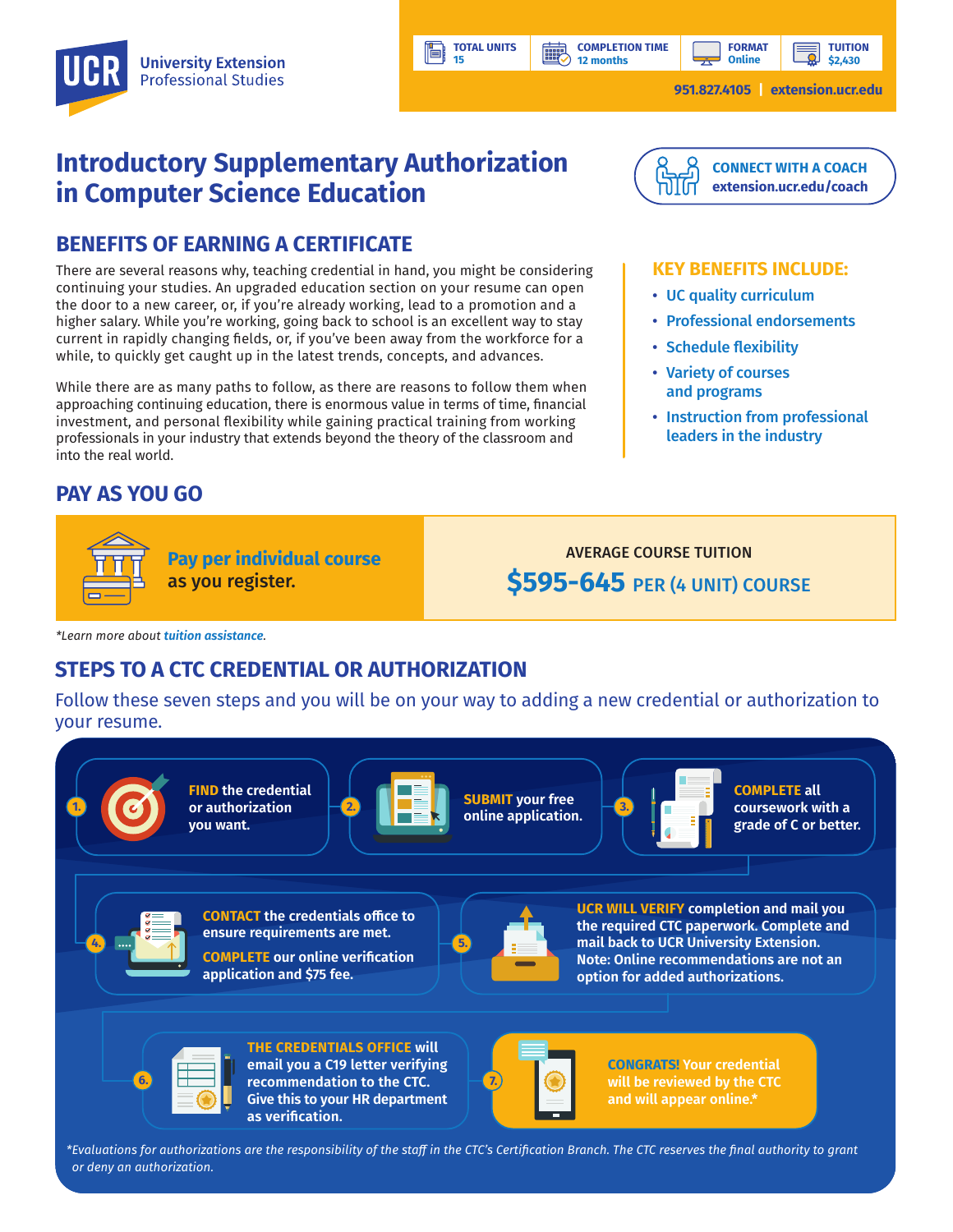**COMPLETION TIME 12 months**

**HILL** 

**TUITION \$2,430**

**951.827.4105 | [extension.ucr.edu](http://extension.ucr.edu)**

## **Introductory Supplementary Authorization in Computer Science Education**

### **BENEFITS OF EARNING A CERTIFICATE**

There are several reasons why, teaching credential in hand, you might be considering continuing your studies. An upgraded education section on your resume can open the door to a new career, or, if you're already working, lead to a promotion and a higher salary. While you're working, going back to school is an excellent way to stay current in rapidly changing fields, or, if you've been away from the workforce for a while, to quickly get caught up in the latest trends, concepts, and advances.

While there are as many paths to follow, as there are reasons to follow them when approaching continuing education, there is enormous value in terms of time, financial investment, and personal flexibility while gaining practical training from working professionals in your industry that extends beyond the theory of the classroom and into the real world.

## **PAY AS YOU GO**



**Pay per individual course** as you register.

AVERAGE COURSE TUITION **\$595-645** PER (4 UNIT) COURSE

*\*Learn more about [tuition assistance](https://extension.ucr.edu/helpcenterstudentresources/financialandtuitionassistance).*

## **STEPS TO A CTC CREDENTIAL OR AUTHORIZATION**

Follow these seven steps and you will be on your way to adding a new credential or authorization to your resume.

**TOTAL UNITS 15**





**recommendation to the CTC.**  $\begin{array}{|c|c|c|c|}\hline \textbf{0} & \textbf{0} & \textbf{0}\ \hline \textbf{1} & \textbf{0} & \textbf{0}\ \hline \textbf{2} & \textbf{0} & \textbf{0}\ \hline \textbf{3} & \textbf{0} & \textbf{0}\ \hline \textbf{4} & \textbf{0} & \textbf{0}\ \hline \textbf{5} & \textbf{0} & \textbf{0}\ \hline \textbf{6} & \textbf{0} & \textbf{0}\ \hline \textbf{7} & \textbf{0} &$ **Give this to your HR department as verification.**



**will be reviewed by the CTC and will appear online.\*** 

*\*Evaluations for authorizations are the responsibility of the staff in the CTC's Certification Branch. The CTC reserves the final authority to grant or deny an authorization.*



#### **KEY BENEFITS INCLUDE:**

- UC quality curriculum
- Professional endorsements
- Schedule flexibility
- Variety of courses and programs
- Instruction from professional leaders in the industry